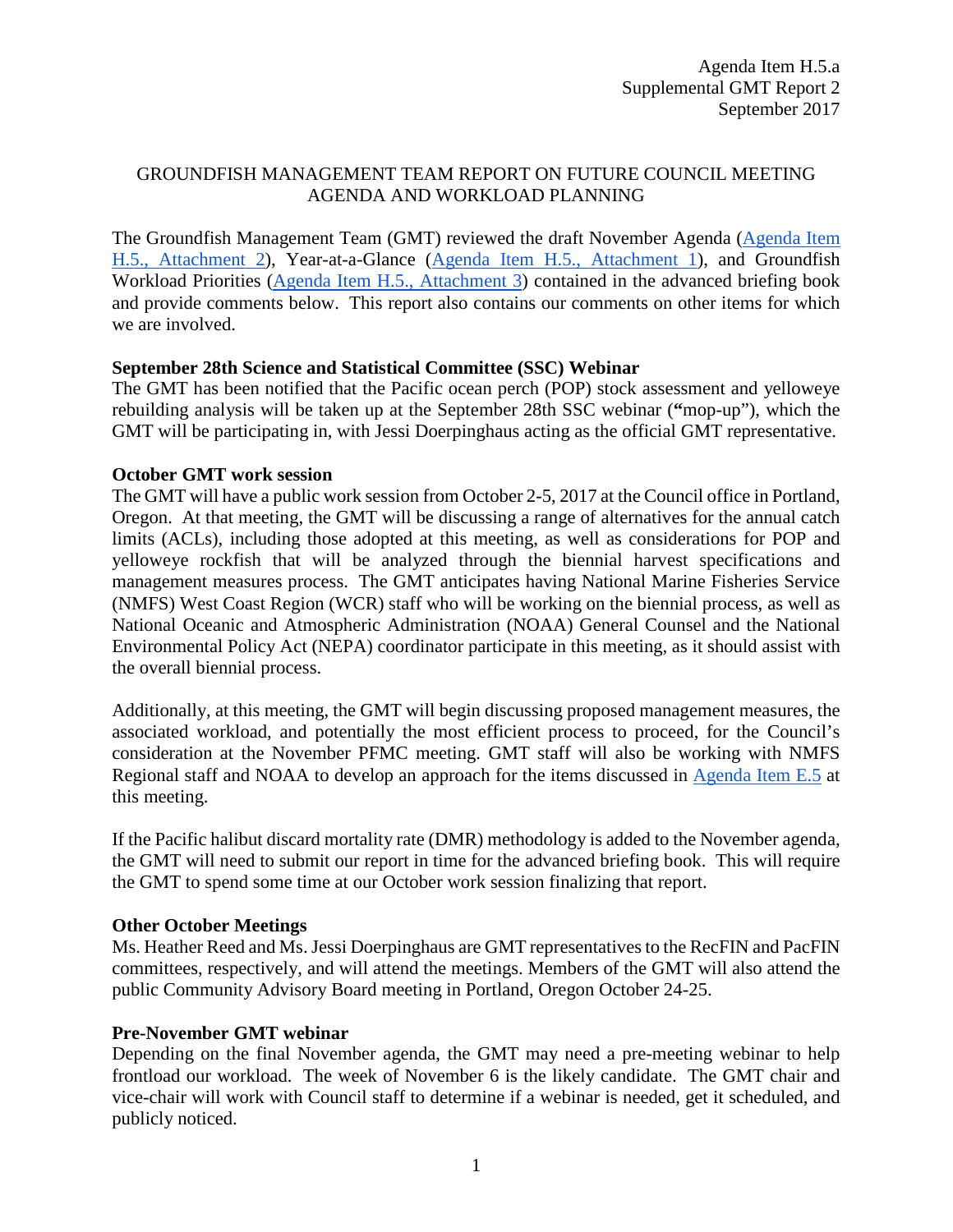# GROUNDFISH MANAGEMENT TEAM REPORT ON FUTURE COUNCIL MEETING AGENDA AND WORKLOAD PLANNING

The Groundfish Management Team (GMT) reviewed the draft November Agenda [\(Agenda Item](http://www.pcouncil.org/wp-content/uploads/2017/08/H5_Att2_Nov17QR_SEPT2017BB_v1.pdf)  [H.5., Attachment 2\)](http://www.pcouncil.org/wp-content/uploads/2017/08/H5_Att2_Nov17QR_SEPT2017BB_v1.pdf), Year-at-a-Glance [\(Agenda Item H.5., Attachment 1\)](http://www.pcouncil.org/wp-content/uploads/2017/08/H5_Att1_YAG__SEPT2017BB.pdf), and Groundfish Workload Priorities [\(Agenda Item H.5., Attachment 3\)](http://www.pcouncil.org/wp-content/uploads/2017/08/H5_Att3_GFworkload_SEPT2017BB.pdf) contained in the advanced briefing book and provide comments below. This report also contains our comments on other items for which we are involved.

# **September 28th Science and Statistical Committee (SSC) Webinar**

The GMT has been notified that the Pacific ocean perch (POP) stock assessment and yelloweye rebuilding analysis will be taken up at the September 28th SSC webinar (**"**mop-up"), which the GMT will be participating in, with Jessi Doerpinghaus acting as the official GMT representative.

# **October GMT work session**

The GMT will have a public work session from October 2-5, 2017 at the Council office in Portland, Oregon. At that meeting, the GMT will be discussing a range of alternatives for the annual catch limits (ACLs), including those adopted at this meeting, as well as considerations for POP and yelloweye rockfish that will be analyzed through the biennial harvest specifications and management measures process. The GMT anticipates having National Marine Fisheries Service (NMFS) West Coast Region (WCR) staff who will be working on the biennial process, as well as National Oceanic and Atmospheric Administration (NOAA) General Counsel and the National Environmental Policy Act (NEPA) coordinator participate in this meeting, as it should assist with the overall biennial process.

Additionally, at this meeting, the GMT will begin discussing proposed management measures, the associated workload, and potentially the most efficient process to proceed, for the Council's consideration at the November PFMC meeting. GMT staff will also be working with NMFS Regional staff and NOAA to develop an approach for the items discussed in [Agenda Item E.5](http://www.pcouncil.org/wp-content/uploads/2017/08/E5__SitSum_MultiYearCatchPolicies_SEPT2017BB.pdf) at this meeting.

If the Pacific halibut discard mortality rate (DMR) methodology is added to the November agenda, the GMT will need to submit our report in time for the advanced briefing book. This will require the GMT to spend some time at our October work session finalizing that report.

### **Other October Meetings**

Ms. Heather Reed and Ms. Jessi Doerpinghaus are GMT representatives to the RecFIN and PacFIN committees, respectively, and will attend the meetings. Members of the GMT will also attend the public Community Advisory Board meeting in Portland, Oregon October 24-25.

### **Pre-November GMT webinar**

Depending on the final November agenda, the GMT may need a pre-meeting webinar to help frontload our workload. The week of November 6 is the likely candidate. The GMT chair and vice-chair will work with Council staff to determine if a webinar is needed, get it scheduled, and publicly noticed.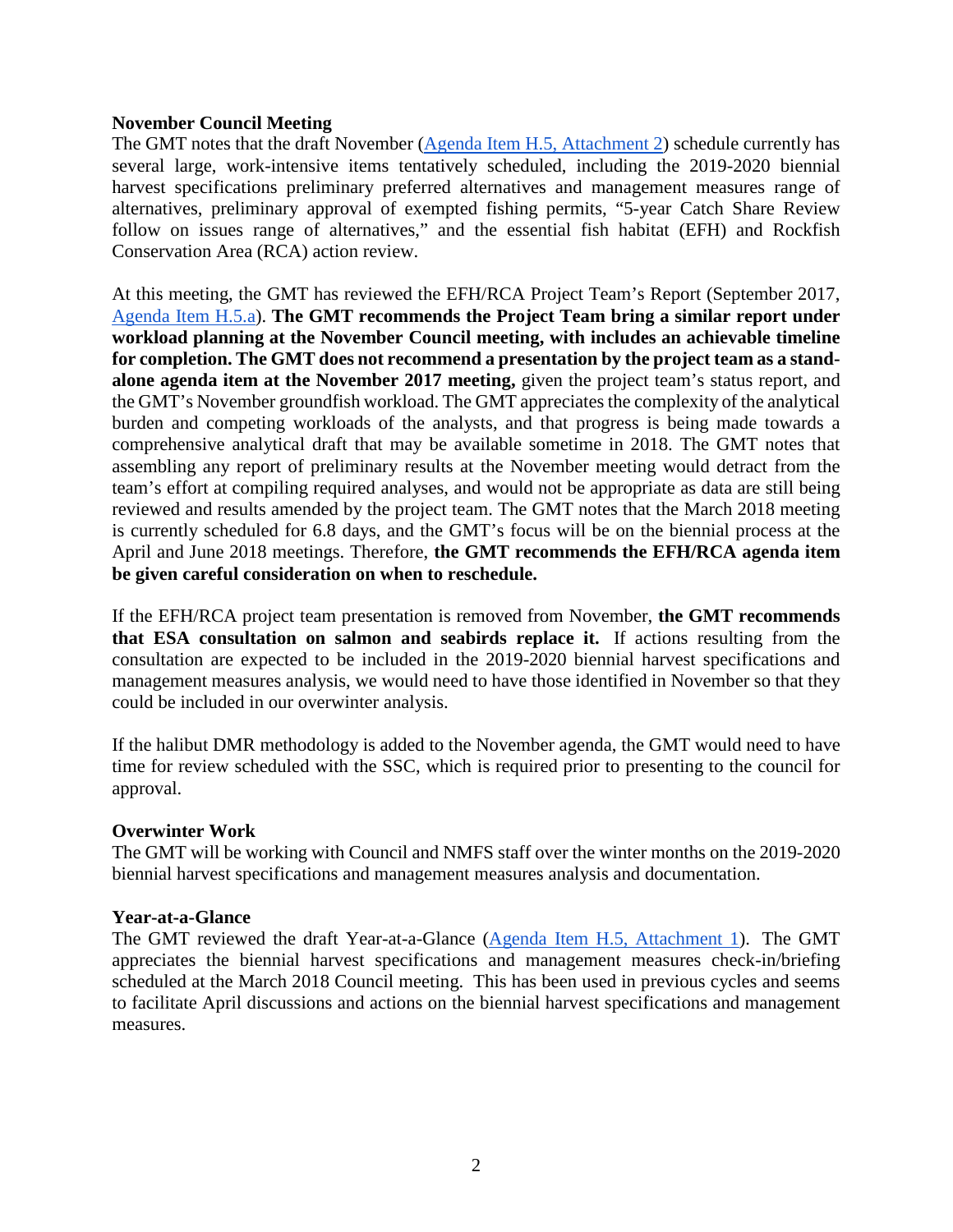### **November Council Meeting**

The GMT notes that the draft November [\(Agenda Item H.5,](http://www.pcouncil.org/wp-content/uploads/2017/08/H5_Att2_Nov17QR_SEPT2017BB_v1.pdf) Attachment 2) schedule currently has several large, work-intensive items tentatively scheduled, including the 2019-2020 biennial harvest specifications preliminary preferred alternatives and management measures range of alternatives, preliminary approval of exempted fishing permits, "5-year Catch Share Review follow on issues range of alternatives," and the essential fish habitat (EFH) and Rockfish Conservation Area (RCA) action review.

At this meeting, the GMT has reviewed the EFH/RCA Project Team's Report (September 2017, [Agenda Item H.5.a\)](http://www.pcouncil.org/wp-content/uploads/2017/09/H5a_Sup_EFH-RCA_ProjectTeam_Rpt1_SEPT2017BB.pdf). **The GMT recommends the Project Team bring a similar report under workload planning at the November Council meeting, with includes an achievable timeline for completion. The GMT does not recommend a presentation by the project team as a standalone agenda item at the November 2017 meeting,** given the project team's status report, and the GMT's November groundfish workload. The GMT appreciates the complexity of the analytical burden and competing workloads of the analysts, and that progress is being made towards a comprehensive analytical draft that may be available sometime in 2018. The GMT notes that assembling any report of preliminary results at the November meeting would detract from the team's effort at compiling required analyses, and would not be appropriate as data are still being reviewed and results amended by the project team. The GMT notes that the March 2018 meeting is currently scheduled for 6.8 days, and the GMT's focus will be on the biennial process at the April and June 2018 meetings. Therefore, **the GMT recommends the EFH/RCA agenda item be given careful consideration on when to reschedule.** 

If the EFH/RCA project team presentation is removed from November, **the GMT recommends that ESA consultation on salmon and seabirds replace it.** If actions resulting from the consultation are expected to be included in the 2019-2020 biennial harvest specifications and management measures analysis, we would need to have those identified in November so that they could be included in our overwinter analysis.

If the halibut DMR methodology is added to the November agenda, the GMT would need to have time for review scheduled with the SSC, which is required prior to presenting to the council for approval.

#### **Overwinter Work**

The GMT will be working with Council and NMFS staff over the winter months on the 2019-2020 biennial harvest specifications and management measures analysis and documentation.

#### **Year-at-a-Glance**

The GMT reviewed the draft Year-at-a-Glance [\(Agenda Item H.5, Attachment 1\)](http://www.pcouncil.org/wp-content/uploads/2017/08/H5_Att1_YAG__SEPT2017BB.pdf). The GMT appreciates the biennial harvest specifications and management measures check-in/briefing scheduled at the March 2018 Council meeting. This has been used in previous cycles and seems to facilitate April discussions and actions on the biennial harvest specifications and management measures.